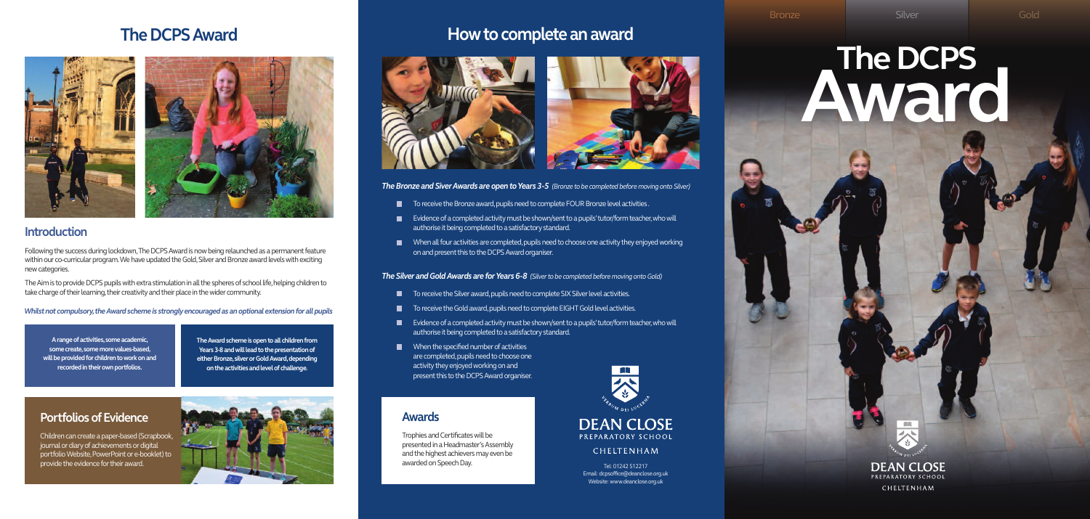# **The DCPS Award**





## **Introduction**

Following the success during lockdown, The DCPS Award is now being relaunched as a permanent feature within our co-curricular program. We have updated the Gold, Silver and Bronze award levels with exciting newcategories.

The Aim is to provide DCPS pupils with extra stimulation in all the spheres of school life, helping children to take charge of their learning, their creativity and their place in the wider community.

*Whilst not compulsory, the Award scheme is strongly encouraged as an optional extension for all pupils* 

**Arangeofactivities,some academic, some create,somemorevalues-based,** will be provided for children to work on and recorded in their own portfolios.

# The DCPS **Award**



CHELTENHAM

**TheAwardscheme isopentoall childrenfrom** Years 3-8 and will lead to the presentation of either Bronze, silver or Gold Award, depending **onthe activities andlevelofchallenge.**

## **Portfolios of Evidence**

Children can create a paper-based (Scrapbook, journal or diary of achievements or digital portfolio Website, PowerPoint or e-booklet) to provide the evidence for their award.



# **How to complete an award**



*The Bronze and Siver Awards* are *open to Years* 3-5 *(Bronze to be completed before moving onto Silver)* 

- $\blacksquare$  To receive the Bronze award, pupils need to complete FOUR Bronze level activities.
- $\blacksquare$  Evidence of a completed activity must be shown/sent to a pupils' tutor/form teacher, who will authorise it being completed to a satisfactory standard.
- When all four activities are completed, pupils need to choose one activity they enjoyed working  $\blacksquare$ on and present this to the DCPS Award organiser.

Tel: 01242 512217 Email: dcpsoffice@deanclose.org.uk Website: www.deanclose.org.uk

*The Silver andGoldAwards are forYears 6-8 (Silver to be completed before moving ontoGold)*

- To receive the Silver award, pupils need to complete SIX Silver level activities.  $\blacksquare$
- $\blacksquare$ To receive the Gold award, pupils need to complete EIGHT Gold level activities.
- $\blacksquare$  Evidence of a completed activity must be shown/sent to a pupils' tutor/form teacher, who will authorise it being completed to a satisfactory standard.
- $\blacksquare$  When the specified number of activities are completed, pupils need to choose one activity they enjoyed working on and present this to the DCPS Award organiser.

**Awards**

Trophies and Certificates will be presented in a Headmaster's Assembly and the highest achievers may even be

awarded on Speech Day.

# **DEAN CLOSE** PREPARATORY SCHOOL

CHELTENHAM